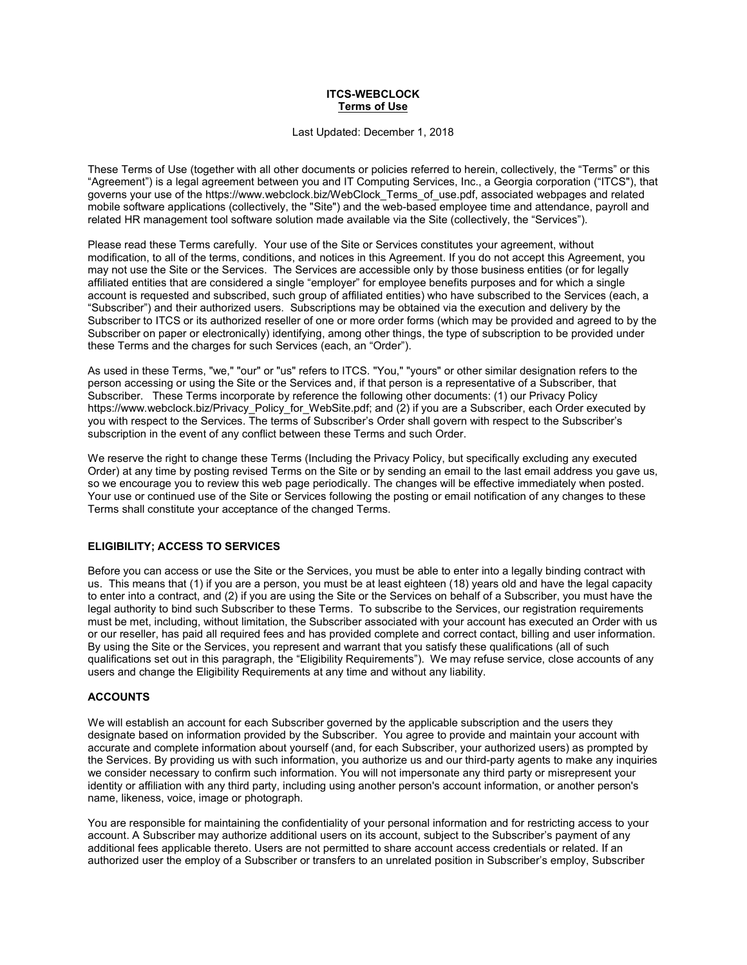### ITCS-WEBCLOCK Terms of Use

Last Updated: December 1, 2018

These Terms of Use (together with all other documents or policies referred to herein, collectively, the "Terms" or this "Agreement") is a legal agreement between you and IT Computing Services, Inc., a Georgia corporation ("ITCS"), that governs your use of the https://www.webclock.biz/WebClock\_Terms\_of\_use.pdf, associated webpages and related mobile software applications (collectively, the "Site") and the web-based employee time and attendance, payroll and related HR management tool software solution made available via the Site (collectively, the "Services").

Please read these Terms carefully. Your use of the Site or Services constitutes your agreement, without modification, to all of the terms, conditions, and notices in this Agreement. If you do not accept this Agreement, you may not use the Site or the Services. The Services are accessible only by those business entities (or for legally affiliated entities that are considered a single "employer" for employee benefits purposes and for which a single account is requested and subscribed, such group of affiliated entities) who have subscribed to the Services (each, a "Subscriber") and their authorized users. Subscriptions may be obtained via the execution and delivery by the Subscriber to ITCS or its authorized reseller of one or more order forms (which may be provided and agreed to by the Subscriber on paper or electronically) identifying, among other things, the type of subscription to be provided under these Terms and the charges for such Services (each, an "Order").

As used in these Terms, "we," "our" or "us" refers to ITCS. "You," "yours" or other similar designation refers to the person accessing or using the Site or the Services and, if that person is a representative of a Subscriber, that Subscriber. These Terms incorporate by reference the following other documents: (1) our Privacy Policy https://www.webclock.biz/Privacy\_Policy\_for\_WebSite.pdf; and (2) if you are a Subscriber, each Order executed by you with respect to the Services. The terms of Subscriber's Order shall govern with respect to the Subscriber's subscription in the event of any conflict between these Terms and such Order.

We reserve the right to change these Terms (Including the Privacy Policy, but specifically excluding any executed Order) at any time by posting revised Terms on the Site or by sending an email to the last email address you gave us, so we encourage you to review this web page periodically. The changes will be effective immediately when posted. Your use or continued use of the Site or Services following the posting or email notification of any changes to these Terms shall constitute your acceptance of the changed Terms.

# ELIGIBILITY; ACCESS TO SERVICES

Before you can access or use the Site or the Services, you must be able to enter into a legally binding contract with us. This means that (1) if you are a person, you must be at least eighteen (18) years old and have the legal capacity to enter into a contract, and (2) if you are using the Site or the Services on behalf of a Subscriber, you must have the legal authority to bind such Subscriber to these Terms. To subscribe to the Services, our registration requirements must be met, including, without limitation, the Subscriber associated with your account has executed an Order with us or our reseller, has paid all required fees and has provided complete and correct contact, billing and user information. By using the Site or the Services, you represent and warrant that you satisfy these qualifications (all of such qualifications set out in this paragraph, the "Eligibility Requirements"). We may refuse service, close accounts of any users and change the Eligibility Requirements at any time and without any liability.

## **ACCOUNTS**

We will establish an account for each Subscriber governed by the applicable subscription and the users they designate based on information provided by the Subscriber. You agree to provide and maintain your account with accurate and complete information about yourself (and, for each Subscriber, your authorized users) as prompted by the Services. By providing us with such information, you authorize us and our third-party agents to make any inquiries we consider necessary to confirm such information. You will not impersonate any third party or misrepresent your identity or affiliation with any third party, including using another person's account information, or another person's name, likeness, voice, image or photograph.

You are responsible for maintaining the confidentiality of your personal information and for restricting access to your account. A Subscriber may authorize additional users on its account, subject to the Subscriber's payment of any additional fees applicable thereto. Users are not permitted to share account access credentials or related. If an authorized user the employ of a Subscriber or transfers to an unrelated position in Subscriber's employ, Subscriber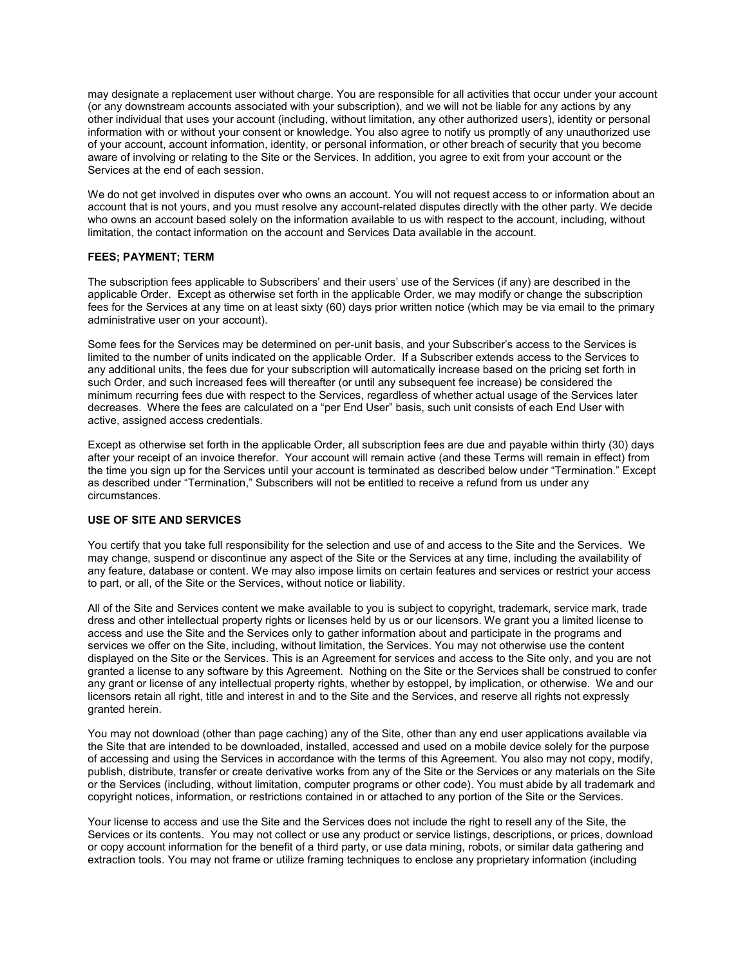may designate a replacement user without charge. You are responsible for all activities that occur under your account (or any downstream accounts associated with your subscription), and we will not be liable for any actions by any other individual that uses your account (including, without limitation, any other authorized users), identity or personal information with or without your consent or knowledge. You also agree to notify us promptly of any unauthorized use of your account, account information, identity, or personal information, or other breach of security that you become aware of involving or relating to the Site or the Services. In addition, you agree to exit from your account or the Services at the end of each session.

We do not get involved in disputes over who owns an account. You will not request access to or information about an account that is not yours, and you must resolve any account-related disputes directly with the other party. We decide who owns an account based solely on the information available to us with respect to the account, including, without limitation, the contact information on the account and Services Data available in the account.

#### FEES; PAYMENT; TERM

The subscription fees applicable to Subscribers' and their users' use of the Services (if any) are described in the applicable Order. Except as otherwise set forth in the applicable Order, we may modify or change the subscription fees for the Services at any time on at least sixty (60) days prior written notice (which may be via email to the primary administrative user on your account).

Some fees for the Services may be determined on per-unit basis, and your Subscriber's access to the Services is limited to the number of units indicated on the applicable Order. If a Subscriber extends access to the Services to any additional units, the fees due for your subscription will automatically increase based on the pricing set forth in such Order, and such increased fees will thereafter (or until any subsequent fee increase) be considered the minimum recurring fees due with respect to the Services, regardless of whether actual usage of the Services later decreases. Where the fees are calculated on a "per End User" basis, such unit consists of each End User with active, assigned access credentials.

Except as otherwise set forth in the applicable Order, all subscription fees are due and payable within thirty (30) days after your receipt of an invoice therefor. Your account will remain active (and these Terms will remain in effect) from the time you sign up for the Services until your account is terminated as described below under "Termination." Except as described under "Termination," Subscribers will not be entitled to receive a refund from us under any circumstances.

#### USE OF SITE AND SERVICES

You certify that you take full responsibility for the selection and use of and access to the Site and the Services. We may change, suspend or discontinue any aspect of the Site or the Services at any time, including the availability of any feature, database or content. We may also impose limits on certain features and services or restrict your access to part, or all, of the Site or the Services, without notice or liability.

All of the Site and Services content we make available to you is subject to copyright, trademark, service mark, trade dress and other intellectual property rights or licenses held by us or our licensors. We grant you a limited license to access and use the Site and the Services only to gather information about and participate in the programs and services we offer on the Site, including, without limitation, the Services. You may not otherwise use the content displayed on the Site or the Services. This is an Agreement for services and access to the Site only, and you are not granted a license to any software by this Agreement. Nothing on the Site or the Services shall be construed to confer any grant or license of any intellectual property rights, whether by estoppel, by implication, or otherwise. We and our licensors retain all right, title and interest in and to the Site and the Services, and reserve all rights not expressly granted herein.

You may not download (other than page caching) any of the Site, other than any end user applications available via the Site that are intended to be downloaded, installed, accessed and used on a mobile device solely for the purpose of accessing and using the Services in accordance with the terms of this Agreement. You also may not copy, modify, publish, distribute, transfer or create derivative works from any of the Site or the Services or any materials on the Site or the Services (including, without limitation, computer programs or other code). You must abide by all trademark and copyright notices, information, or restrictions contained in or attached to any portion of the Site or the Services.

Your license to access and use the Site and the Services does not include the right to resell any of the Site, the Services or its contents. You may not collect or use any product or service listings, descriptions, or prices, download or copy account information for the benefit of a third party, or use data mining, robots, or similar data gathering and extraction tools. You may not frame or utilize framing techniques to enclose any proprietary information (including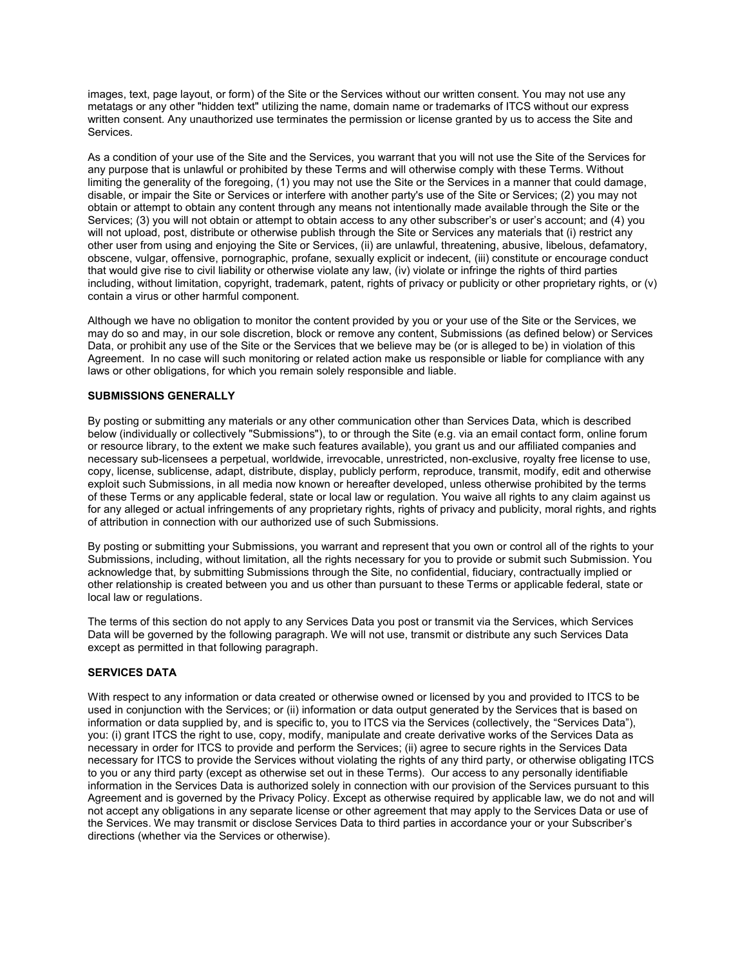images, text, page layout, or form) of the Site or the Services without our written consent. You may not use any metatags or any other "hidden text" utilizing the name, domain name or trademarks of ITCS without our express written consent. Any unauthorized use terminates the permission or license granted by us to access the Site and Services.

As a condition of your use of the Site and the Services, you warrant that you will not use the Site of the Services for any purpose that is unlawful or prohibited by these Terms and will otherwise comply with these Terms. Without limiting the generality of the foregoing, (1) you may not use the Site or the Services in a manner that could damage, disable, or impair the Site or Services or interfere with another party's use of the Site or Services; (2) you may not obtain or attempt to obtain any content through any means not intentionally made available through the Site or the Services; (3) you will not obtain or attempt to obtain access to any other subscriber's or user's account; and (4) you will not upload, post, distribute or otherwise publish through the Site or Services any materials that (i) restrict any other user from using and enjoying the Site or Services, (ii) are unlawful, threatening, abusive, libelous, defamatory, obscene, vulgar, offensive, pornographic, profane, sexually explicit or indecent, (iii) constitute or encourage conduct that would give rise to civil liability or otherwise violate any law, (iv) violate or infringe the rights of third parties including, without limitation, copyright, trademark, patent, rights of privacy or publicity or other proprietary rights, or (v) contain a virus or other harmful component.

Although we have no obligation to monitor the content provided by you or your use of the Site or the Services, we may do so and may, in our sole discretion, block or remove any content, Submissions (as defined below) or Services Data, or prohibit any use of the Site or the Services that we believe may be (or is alleged to be) in violation of this Agreement. In no case will such monitoring or related action make us responsible or liable for compliance with any laws or other obligations, for which you remain solely responsible and liable.

#### SUBMISSIONS GENERALLY

By posting or submitting any materials or any other communication other than Services Data, which is described below (individually or collectively "Submissions"), to or through the Site (e.g. via an email contact form, online forum or resource library, to the extent we make such features available), you grant us and our affiliated companies and necessary sub-licensees a perpetual, worldwide, irrevocable, unrestricted, non-exclusive, royalty free license to use, copy, license, sublicense, adapt, distribute, display, publicly perform, reproduce, transmit, modify, edit and otherwise exploit such Submissions, in all media now known or hereafter developed, unless otherwise prohibited by the terms of these Terms or any applicable federal, state or local law or regulation. You waive all rights to any claim against us for any alleged or actual infringements of any proprietary rights, rights of privacy and publicity, moral rights, and rights of attribution in connection with our authorized use of such Submissions.

By posting or submitting your Submissions, you warrant and represent that you own or control all of the rights to your Submissions, including, without limitation, all the rights necessary for you to provide or submit such Submission. You acknowledge that, by submitting Submissions through the Site, no confidential, fiduciary, contractually implied or other relationship is created between you and us other than pursuant to these Terms or applicable federal, state or local law or regulations.

The terms of this section do not apply to any Services Data you post or transmit via the Services, which Services Data will be governed by the following paragraph. We will not use, transmit or distribute any such Services Data except as permitted in that following paragraph.

#### SERVICES DATA

With respect to any information or data created or otherwise owned or licensed by you and provided to ITCS to be used in conjunction with the Services; or (ii) information or data output generated by the Services that is based on information or data supplied by, and is specific to, you to ITCS via the Services (collectively, the "Services Data"), you: (i) grant ITCS the right to use, copy, modify, manipulate and create derivative works of the Services Data as necessary in order for ITCS to provide and perform the Services; (ii) agree to secure rights in the Services Data necessary for ITCS to provide the Services without violating the rights of any third party, or otherwise obligating ITCS to you or any third party (except as otherwise set out in these Terms). Our access to any personally identifiable information in the Services Data is authorized solely in connection with our provision of the Services pursuant to this Agreement and is governed by the Privacy Policy. Except as otherwise required by applicable law, we do not and will not accept any obligations in any separate license or other agreement that may apply to the Services Data or use of the Services. We may transmit or disclose Services Data to third parties in accordance your or your Subscriber's directions (whether via the Services or otherwise).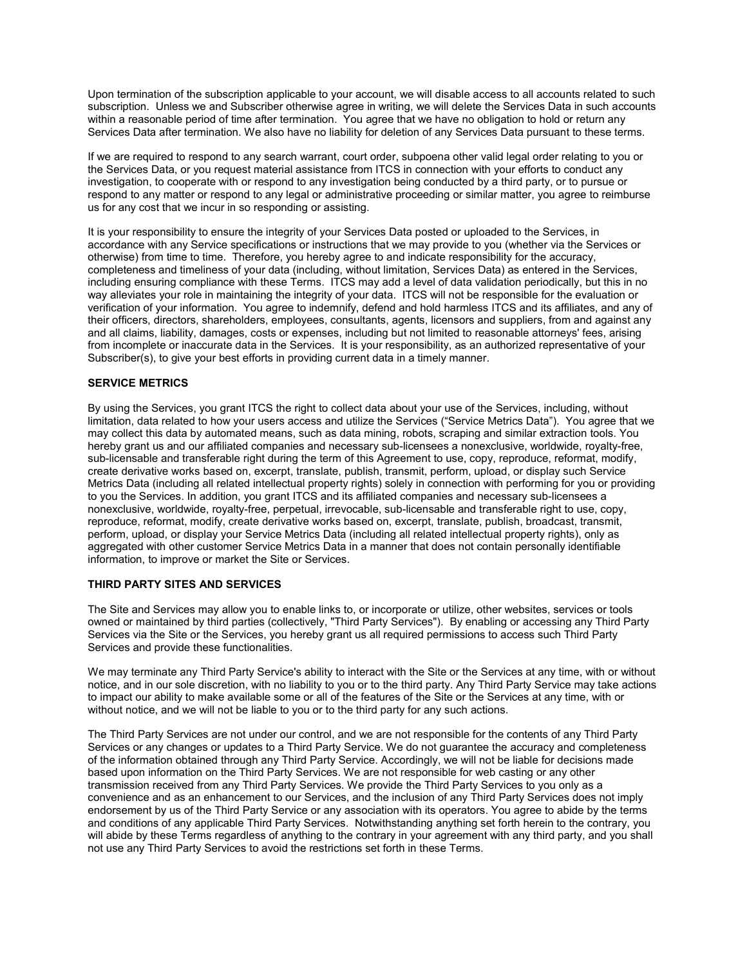Upon termination of the subscription applicable to your account, we will disable access to all accounts related to such subscription. Unless we and Subscriber otherwise agree in writing, we will delete the Services Data in such accounts within a reasonable period of time after termination. You agree that we have no obligation to hold or return any Services Data after termination. We also have no liability for deletion of any Services Data pursuant to these terms.

If we are required to respond to any search warrant, court order, subpoena other valid legal order relating to you or the Services Data, or you request material assistance from ITCS in connection with your efforts to conduct any investigation, to cooperate with or respond to any investigation being conducted by a third party, or to pursue or respond to any matter or respond to any legal or administrative proceeding or similar matter, you agree to reimburse us for any cost that we incur in so responding or assisting.

It is your responsibility to ensure the integrity of your Services Data posted or uploaded to the Services, in accordance with any Service specifications or instructions that we may provide to you (whether via the Services or otherwise) from time to time. Therefore, you hereby agree to and indicate responsibility for the accuracy, completeness and timeliness of your data (including, without limitation, Services Data) as entered in the Services, including ensuring compliance with these Terms. ITCS may add a level of data validation periodically, but this in no way alleviates your role in maintaining the integrity of your data. ITCS will not be responsible for the evaluation or verification of your information. You agree to indemnify, defend and hold harmless ITCS and its affiliates, and any of their officers, directors, shareholders, employees, consultants, agents, licensors and suppliers, from and against any and all claims, liability, damages, costs or expenses, including but not limited to reasonable attorneys' fees, arising from incomplete or inaccurate data in the Services. It is your responsibility, as an authorized representative of your Subscriber(s), to give your best efforts in providing current data in a timely manner.

### SERVICE METRICS

By using the Services, you grant ITCS the right to collect data about your use of the Services, including, without limitation, data related to how your users access and utilize the Services ("Service Metrics Data"). You agree that we may collect this data by automated means, such as data mining, robots, scraping and similar extraction tools. You hereby grant us and our affiliated companies and necessary sub-licensees a nonexclusive, worldwide, royalty-free, sub-licensable and transferable right during the term of this Agreement to use, copy, reproduce, reformat, modify, create derivative works based on, excerpt, translate, publish, transmit, perform, upload, or display such Service Metrics Data (including all related intellectual property rights) solely in connection with performing for you or providing to you the Services. In addition, you grant ITCS and its affiliated companies and necessary sub-licensees a nonexclusive, worldwide, royalty-free, perpetual, irrevocable, sub-licensable and transferable right to use, copy, reproduce, reformat, modify, create derivative works based on, excerpt, translate, publish, broadcast, transmit, perform, upload, or display your Service Metrics Data (including all related intellectual property rights), only as aggregated with other customer Service Metrics Data in a manner that does not contain personally identifiable information, to improve or market the Site or Services.

### THIRD PARTY SITES AND SERVICES

The Site and Services may allow you to enable links to, or incorporate or utilize, other websites, services or tools owned or maintained by third parties (collectively, "Third Party Services"). By enabling or accessing any Third Party Services via the Site or the Services, you hereby grant us all required permissions to access such Third Party Services and provide these functionalities.

We may terminate any Third Party Service's ability to interact with the Site or the Services at any time, with or without notice, and in our sole discretion, with no liability to you or to the third party. Any Third Party Service may take actions to impact our ability to make available some or all of the features of the Site or the Services at any time, with or without notice, and we will not be liable to you or to the third party for any such actions.

The Third Party Services are not under our control, and we are not responsible for the contents of any Third Party Services or any changes or updates to a Third Party Service. We do not guarantee the accuracy and completeness of the information obtained through any Third Party Service. Accordingly, we will not be liable for decisions made based upon information on the Third Party Services. We are not responsible for web casting or any other transmission received from any Third Party Services. We provide the Third Party Services to you only as a convenience and as an enhancement to our Services, and the inclusion of any Third Party Services does not imply endorsement by us of the Third Party Service or any association with its operators. You agree to abide by the terms and conditions of any applicable Third Party Services. Notwithstanding anything set forth herein to the contrary, you will abide by these Terms regardless of anything to the contrary in your agreement with any third party, and you shall not use any Third Party Services to avoid the restrictions set forth in these Terms.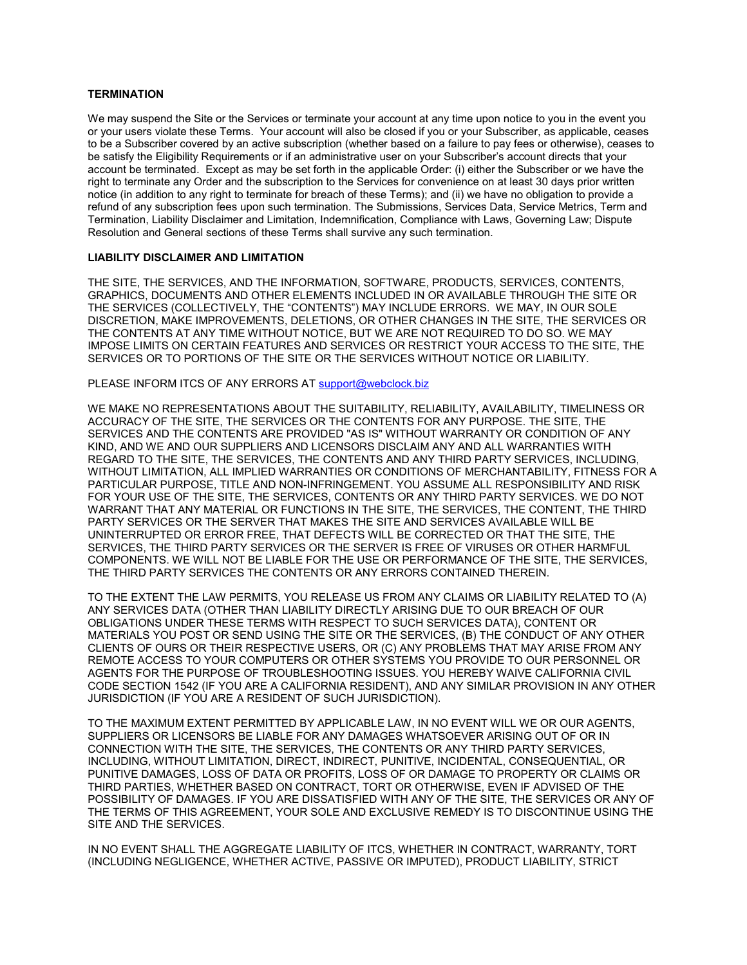#### **TERMINATION**

We may suspend the Site or the Services or terminate your account at any time upon notice to you in the event you or your users violate these Terms. Your account will also be closed if you or your Subscriber, as applicable, ceases to be a Subscriber covered by an active subscription (whether based on a failure to pay fees or otherwise), ceases to be satisfy the Eligibility Requirements or if an administrative user on your Subscriber's account directs that your account be terminated. Except as may be set forth in the applicable Order: (i) either the Subscriber or we have the right to terminate any Order and the subscription to the Services for convenience on at least 30 days prior written notice (in addition to any right to terminate for breach of these Terms); and (ii) we have no obligation to provide a refund of any subscription fees upon such termination. The Submissions, Services Data, Service Metrics, Term and Termination, Liability Disclaimer and Limitation, Indemnification, Compliance with Laws, Governing Law; Dispute Resolution and General sections of these Terms shall survive any such termination.

#### LIABILITY DISCLAIMER AND LIMITATION

THE SITE, THE SERVICES, AND THE INFORMATION, SOFTWARE, PRODUCTS, SERVICES, CONTENTS, GRAPHICS, DOCUMENTS AND OTHER ELEMENTS INCLUDED IN OR AVAILABLE THROUGH THE SITE OR THE SERVICES (COLLECTIVELY, THE "CONTENTS") MAY INCLUDE ERRORS. WE MAY, IN OUR SOLE DISCRETION, MAKE IMPROVEMENTS, DELETIONS, OR OTHER CHANGES IN THE SITE, THE SERVICES OR THE CONTENTS AT ANY TIME WITHOUT NOTICE, BUT WE ARE NOT REQUIRED TO DO SO. WE MAY IMPOSE LIMITS ON CERTAIN FEATURES AND SERVICES OR RESTRICT YOUR ACCESS TO THE SITE, THE SERVICES OR TO PORTIONS OF THE SITE OR THE SERVICES WITHOUT NOTICE OR LIABILITY.

PLEASE INFORM ITCS OF ANY ERRORS AT support@webclock.biz

WE MAKE NO REPRESENTATIONS ABOUT THE SUITABILITY, RELIABILITY, AVAILABILITY, TIMELINESS OR ACCURACY OF THE SITE, THE SERVICES OR THE CONTENTS FOR ANY PURPOSE. THE SITE, THE SERVICES AND THE CONTENTS ARE PROVIDED "AS IS" WITHOUT WARRANTY OR CONDITION OF ANY KIND, AND WE AND OUR SUPPLIERS AND LICENSORS DISCLAIM ANY AND ALL WARRANTIES WITH REGARD TO THE SITE, THE SERVICES, THE CONTENTS AND ANY THIRD PARTY SERVICES, INCLUDING, WITHOUT LIMITATION, ALL IMPLIED WARRANTIES OR CONDITIONS OF MERCHANTABILITY, FITNESS FOR A PARTICULAR PURPOSE, TITLE AND NON-INFRINGEMENT. YOU ASSUME ALL RESPONSIBILITY AND RISK FOR YOUR USE OF THE SITE, THE SERVICES, CONTENTS OR ANY THIRD PARTY SERVICES. WE DO NOT WARRANT THAT ANY MATERIAL OR FUNCTIONS IN THE SITE, THE SERVICES, THE CONTENT, THE THIRD PARTY SERVICES OR THE SERVER THAT MAKES THE SITE AND SERVICES AVAILABLE WILL BE UNINTERRUPTED OR ERROR FREE, THAT DEFECTS WILL BE CORRECTED OR THAT THE SITE, THE SERVICES, THE THIRD PARTY SERVICES OR THE SERVER IS FREE OF VIRUSES OR OTHER HARMFUL COMPONENTS. WE WILL NOT BE LIABLE FOR THE USE OR PERFORMANCE OF THE SITE, THE SERVICES, THE THIRD PARTY SERVICES THE CONTENTS OR ANY ERRORS CONTAINED THEREIN.

TO THE EXTENT THE LAW PERMITS, YOU RELEASE US FROM ANY CLAIMS OR LIABILITY RELATED TO (A) ANY SERVICES DATA (OTHER THAN LIABILITY DIRECTLY ARISING DUE TO OUR BREACH OF OUR OBLIGATIONS UNDER THESE TERMS WITH RESPECT TO SUCH SERVICES DATA), CONTENT OR MATERIALS YOU POST OR SEND USING THE SITE OR THE SERVICES, (B) THE CONDUCT OF ANY OTHER CLIENTS OF OURS OR THEIR RESPECTIVE USERS, OR (C) ANY PROBLEMS THAT MAY ARISE FROM ANY REMOTE ACCESS TO YOUR COMPUTERS OR OTHER SYSTEMS YOU PROVIDE TO OUR PERSONNEL OR AGENTS FOR THE PURPOSE OF TROUBLESHOOTING ISSUES. YOU HEREBY WAIVE CALIFORNIA CIVIL CODE SECTION 1542 (IF YOU ARE A CALIFORNIA RESIDENT), AND ANY SIMILAR PROVISION IN ANY OTHER JURISDICTION (IF YOU ARE A RESIDENT OF SUCH JURISDICTION).

TO THE MAXIMUM EXTENT PERMITTED BY APPLICABLE LAW, IN NO EVENT WILL WE OR OUR AGENTS, SUPPLIERS OR LICENSORS BE LIABLE FOR ANY DAMAGES WHATSOEVER ARISING OUT OF OR IN CONNECTION WITH THE SITE, THE SERVICES, THE CONTENTS OR ANY THIRD PARTY SERVICES, INCLUDING, WITHOUT LIMITATION, DIRECT, INDIRECT, PUNITIVE, INCIDENTAL, CONSEQUENTIAL, OR PUNITIVE DAMAGES, LOSS OF DATA OR PROFITS, LOSS OF OR DAMAGE TO PROPERTY OR CLAIMS OR THIRD PARTIES, WHETHER BASED ON CONTRACT, TORT OR OTHERWISE, EVEN IF ADVISED OF THE POSSIBILITY OF DAMAGES. IF YOU ARE DISSATISFIED WITH ANY OF THE SITE, THE SERVICES OR ANY OF THE TERMS OF THIS AGREEMENT, YOUR SOLE AND EXCLUSIVE REMEDY IS TO DISCONTINUE USING THE SITE AND THE SERVICES.

IN NO EVENT SHALL THE AGGREGATE LIABILITY OF ITCS, WHETHER IN CONTRACT, WARRANTY, TORT (INCLUDING NEGLIGENCE, WHETHER ACTIVE, PASSIVE OR IMPUTED), PRODUCT LIABILITY, STRICT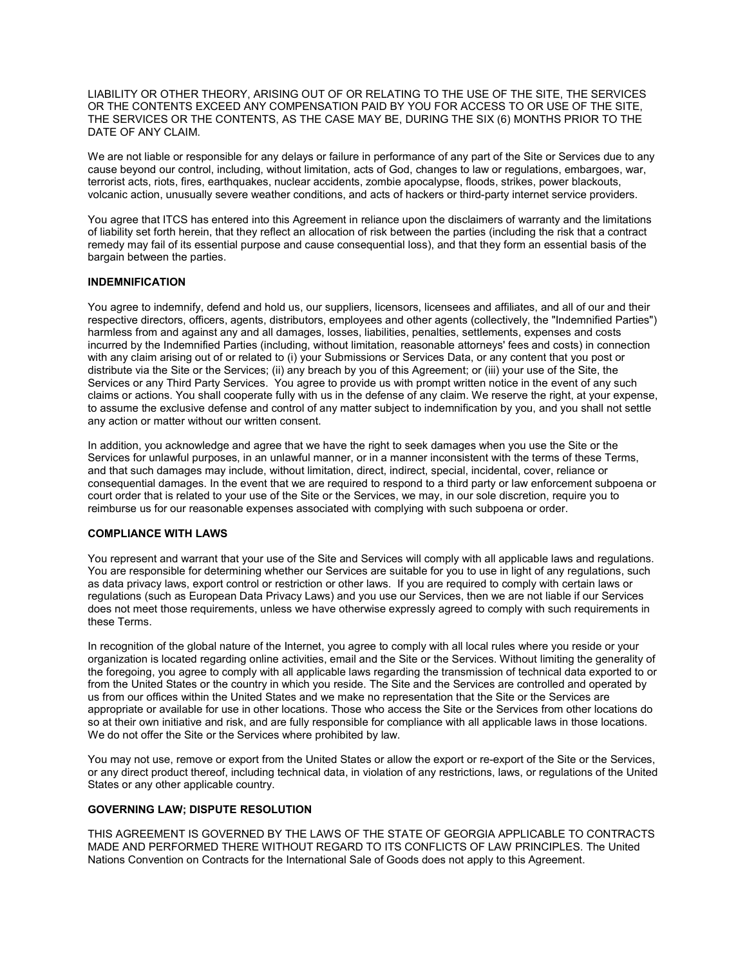LIABILITY OR OTHER THEORY, ARISING OUT OF OR RELATING TO THE USE OF THE SITE, THE SERVICES OR THE CONTENTS EXCEED ANY COMPENSATION PAID BY YOU FOR ACCESS TO OR USE OF THE SITE, THE SERVICES OR THE CONTENTS, AS THE CASE MAY BE, DURING THE SIX (6) MONTHS PRIOR TO THE DATE OF ANY CLAIM.

We are not liable or responsible for any delays or failure in performance of any part of the Site or Services due to any cause beyond our control, including, without limitation, acts of God, changes to law or regulations, embargoes, war, terrorist acts, riots, fires, earthquakes, nuclear accidents, zombie apocalypse, floods, strikes, power blackouts, volcanic action, unusually severe weather conditions, and acts of hackers or third-party internet service providers.

You agree that ITCS has entered into this Agreement in reliance upon the disclaimers of warranty and the limitations of liability set forth herein, that they reflect an allocation of risk between the parties (including the risk that a contract remedy may fail of its essential purpose and cause consequential loss), and that they form an essential basis of the bargain between the parties.

### INDEMNIFICATION

You agree to indemnify, defend and hold us, our suppliers, licensors, licensees and affiliates, and all of our and their respective directors, officers, agents, distributors, employees and other agents (collectively, the "Indemnified Parties") harmless from and against any and all damages, losses, liabilities, penalties, settlements, expenses and costs incurred by the Indemnified Parties (including, without limitation, reasonable attorneys' fees and costs) in connection with any claim arising out of or related to (i) your Submissions or Services Data, or any content that you post or distribute via the Site or the Services; (ii) any breach by you of this Agreement; or (iii) your use of the Site, the Services or any Third Party Services. You agree to provide us with prompt written notice in the event of any such claims or actions. You shall cooperate fully with us in the defense of any claim. We reserve the right, at your expense, to assume the exclusive defense and control of any matter subject to indemnification by you, and you shall not settle any action or matter without our written consent.

In addition, you acknowledge and agree that we have the right to seek damages when you use the Site or the Services for unlawful purposes, in an unlawful manner, or in a manner inconsistent with the terms of these Terms, and that such damages may include, without limitation, direct, indirect, special, incidental, cover, reliance or consequential damages. In the event that we are required to respond to a third party or law enforcement subpoena or court order that is related to your use of the Site or the Services, we may, in our sole discretion, require you to reimburse us for our reasonable expenses associated with complying with such subpoena or order.

#### COMPLIANCE WITH LAWS

You represent and warrant that your use of the Site and Services will comply with all applicable laws and regulations. You are responsible for determining whether our Services are suitable for you to use in light of any regulations, such as data privacy laws, export control or restriction or other laws. If you are required to comply with certain laws or regulations (such as European Data Privacy Laws) and you use our Services, then we are not liable if our Services does not meet those requirements, unless we have otherwise expressly agreed to comply with such requirements in these Terms.

In recognition of the global nature of the Internet, you agree to comply with all local rules where you reside or your organization is located regarding online activities, email and the Site or the Services. Without limiting the generality of the foregoing, you agree to comply with all applicable laws regarding the transmission of technical data exported to or from the United States or the country in which you reside. The Site and the Services are controlled and operated by us from our offices within the United States and we make no representation that the Site or the Services are appropriate or available for use in other locations. Those who access the Site or the Services from other locations do so at their own initiative and risk, and are fully responsible for compliance with all applicable laws in those locations. We do not offer the Site or the Services where prohibited by law.

You may not use, remove or export from the United States or allow the export or re-export of the Site or the Services, or any direct product thereof, including technical data, in violation of any restrictions, laws, or regulations of the United States or any other applicable country.

### GOVERNING LAW; DISPUTE RESOLUTION

THIS AGREEMENT IS GOVERNED BY THE LAWS OF THE STATE OF GEORGIA APPLICABLE TO CONTRACTS MADE AND PERFORMED THERE WITHOUT REGARD TO ITS CONFLICTS OF LAW PRINCIPLES. The United Nations Convention on Contracts for the International Sale of Goods does not apply to this Agreement.